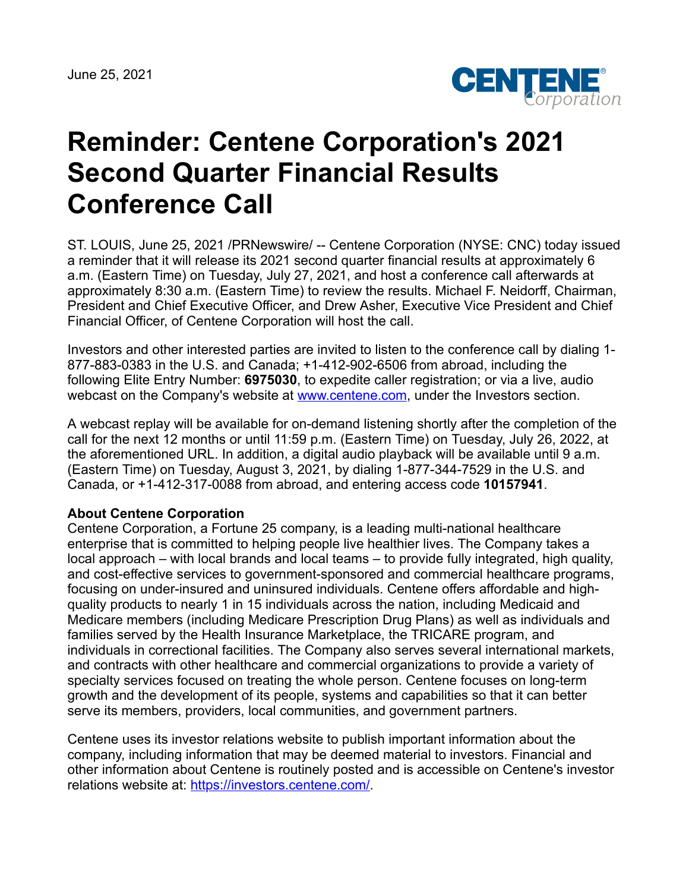June 25, 2021



## **Reminder: Centene Corporation's 2021 Second Quarter Financial Results Conference Call**

ST. LOUIS, June 25, 2021 /PRNewswire/ -- Centene Corporation (NYSE: CNC) today issued a reminder that it will release its 2021 second quarter financial results at approximately 6 a.m. (Eastern Time) on Tuesday, July 27, 2021, and host a conference call afterwards at approximately 8:30 a.m. (Eastern Time) to review the results. Michael F. Neidorff, Chairman, President and Chief Executive Officer, and Drew Asher, Executive Vice President and Chief Financial Officer, of Centene Corporation will host the call.

Investors and other interested parties are invited to listen to the conference call by dialing 1- 877-883-0383 in the U.S. and Canada; +1-412-902-6506 from abroad, including the following Elite Entry Number: **6975030**, to expedite caller registration; or via a live, audio webcast on the Company's website at [www.centene.com,](http://www.centene.com/) under the Investors section.

A webcast replay will be available for on-demand listening shortly after the completion of the call for the next 12 months or until 11:59 p.m. (Eastern Time) on Tuesday, July 26, 2022, at the aforementioned URL. In addition, a digital audio playback will be available until 9 a.m. (Eastern Time) on Tuesday, August 3, 2021, by dialing 1-877-344-7529 in the U.S. and Canada, or +1-412-317-0088 from abroad, and entering access code **10157941**.

## **About Centene Corporation**

Centene Corporation, a Fortune 25 company, is a leading multi-national healthcare enterprise that is committed to helping people live healthier lives. The Company takes a local approach – with local brands and local teams – to provide fully integrated, high quality, and cost-effective services to government-sponsored and commercial healthcare programs, focusing on under-insured and uninsured individuals. Centene offers affordable and highquality products to nearly 1 in 15 individuals across the nation, including Medicaid and Medicare members (including Medicare Prescription Drug Plans) as well as individuals and families served by the Health Insurance Marketplace, the TRICARE program, and individuals in correctional facilities. The Company also serves several international markets, and contracts with other healthcare and commercial organizations to provide a variety of specialty services focused on treating the whole person. Centene focuses on long-term growth and the development of its people, systems and capabilities so that it can better serve its members, providers, local communities, and government partners.

Centene uses its investor relations website to publish important information about the company, including information that may be deemed material to investors. Financial and other information about Centene is routinely posted and is accessible on Centene's investor relations website at: <https://investors.centene.com/>.